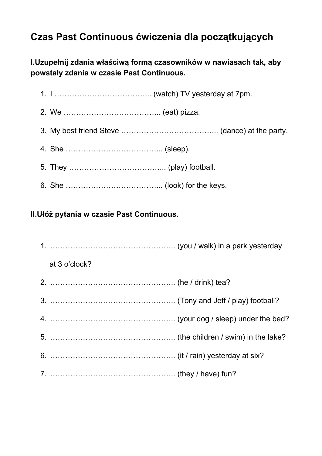## **Czas Past Continuous ćwiczenia dla początkujących**

**I.Uzupełnij zdania właściwą formą czasowników w nawiasach tak, aby powstały zdania w czasie Past Continuous.**

## **II.Ułóż pytania w czasie Past Continuous.**

| at 3 o'clock? |  |
|---------------|--|
|               |  |
|               |  |
|               |  |
|               |  |
|               |  |
|               |  |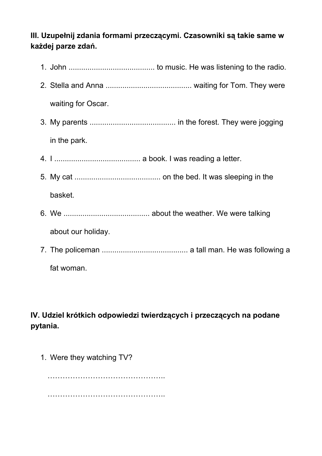## **III. Uzupełnij zdania formami przeczącymi. Czasowniki są takie same w każdej parze zdań.**

| waiting for Oscar. |
|--------------------|
|                    |
| in the park.       |
|                    |
|                    |
| basket.            |
|                    |
| about our holiday. |
|                    |
| fat woman.         |

## **IV. Udziel krótkich odpowiedzi twierdzących i przeczących na podane pytania.**

1. Were they watching TV?

…………………………………………………… ………………………………………..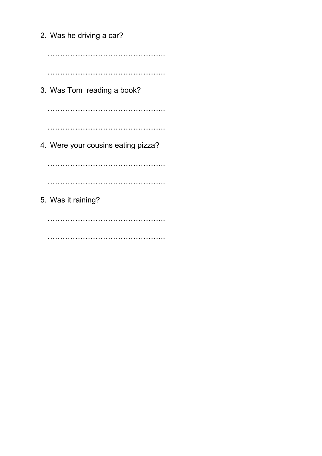2. Was he driving a car? ……………………………………….. ……………………………………….. 3. Was Tom reading a book? ……………………………………….. …………………………………………………… 4. Were your cousins eating pizza? ……………………………………….. …………………………………………………… 5. Was it raining? ……………………………………………………

……………………………………………………